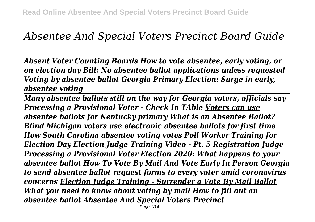# *Absentee And Special Voters Precinct Board Guide*

*Absent Voter Counting Boards How to vote absentee, early voting, or on election day Bill: No absentee ballot applications unless requested Voting by absentee ballot Georgia Primary Election: Surge in early, absentee voting* 

*Many absentee ballots still on the way for Georgia voters, officials say Processing a Provisional Voter - Check In TAble Voters can use absentee ballots for Kentucky primary What is an Absentee Ballot? Blind Michigan voters use electronic absentee ballots for first time How South Carolina absentee voting votes Poll Worker Training for Election Day Election Judge Training Video - Pt. 5 Registration Judge Processing a Provisional Voter Election 2020: What happens to your absentee ballot How To Vote By Mail And Vote Early In Person Georgia to send absentee ballot request forms to every voter amid coronavirus concerns Election Judge Training - Surrender a Vote By Mail Ballot What you need to know about voting by mail How to fill out an absentee ballot Absentee And Special Voters Precinct*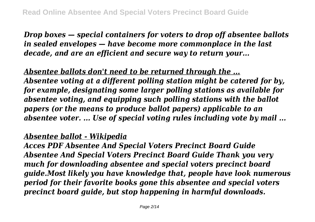*Drop boxes — special containers for voters to drop off absentee ballots in sealed envelopes — have become more commonplace in the last decade, and are an efficient and secure way to return your...*

*Absentee ballots don't need to be returned through the ... Absentee voting at a different polling station might be catered for by, for example, designating some larger polling stations as available for absentee voting, and equipping such polling stations with the ballot papers (or the means to produce ballot papers) applicable to an absentee voter. ... Use of special voting rules including vote by mail ...*

#### *Absentee ballot - Wikipedia*

*Acces PDF Absentee And Special Voters Precinct Board Guide Absentee And Special Voters Precinct Board Guide Thank you very much for downloading absentee and special voters precinct board guide.Most likely you have knowledge that, people have look numerous period for their favorite books gone this absentee and special voters precinct board guide, but stop happening in harmful downloads.*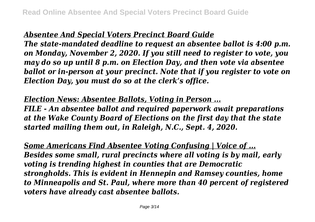## *Absentee And Special Voters Precinct Board Guide*

*The state-mandated deadline to request an absentee ballot is 4:00 p.m. on Monday, November 2, 2020. If you still need to register to vote, you may do so up until 8 p.m. on Election Day, and then vote via absentee ballot or in-person at your precinct. Note that if you register to vote on Election Day, you must do so at the clerk's office.*

*Election News: Absentee Ballots, Voting in Person ... FILE - An absentee ballot and required paperwork await preparations at the Wake County Board of Elections on the first day that the state started mailing them out, in Raleigh, N.C., Sept. 4, 2020.*

*Some Americans Find Absentee Voting Confusing | Voice of ... Besides some small, rural precincts where all voting is by mail, early voting is trending highest in counties that are Democratic strongholds. This is evident in Hennepin and Ramsey counties, home to Minneapolis and St. Paul, where more than 40 percent of registered voters have already cast absentee ballots.*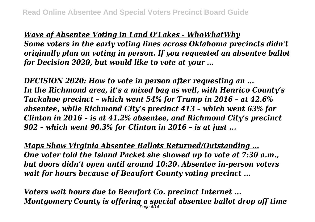*Wave of Absentee Voting in Land O'Lakes - WhoWhatWhy Some voters in the early voting lines across Oklahoma precincts didn't originally plan on voting in person. If you requested an absentee ballot for Decision 2020, but would like to vote at your ...*

*DECISION 2020: How to vote in person after requesting an ... In the Richmond area, it's a mixed bag as well, with Henrico County's Tuckahoe precinct – which went 54% for Trump in 2016 – at 42.6% absentee, while Richmond City's precinct 413 – which went 63% for Clinton in 2016 – is at 41.2% absentee, and Richmond City's precinct 902 – which went 90.3% for Clinton in 2016 – is at just ...*

*Maps Show Virginia Absentee Ballots Returned/Outstanding ... One voter told the Island Packet she showed up to vote at 7:30 a.m., but doors didn't open until around 10:20. Absentee in-person voters wait for hours because of Beaufort County voting precinct ...*

*Voters wait hours due to Beaufort Co. precinct Internet ... Montgomery County is offering a special absentee ballot drop off time* Page 4/14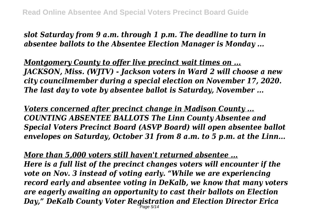*slot Saturday from 9 a.m. through 1 p.m. The deadline to turn in absentee ballots to the Absentee Election Manager is Monday ...*

*Montgomery County to offer live precinct wait times on ... JACKSON, Miss. (WJTV) - Jackson voters in Ward 2 will choose a new city councilmember during a special election on November 17, 2020. The last day to vote by absentee ballot is Saturday, November ...*

*Voters concerned after precinct change in Madison County ... COUNTING ABSENTEE BALLOTS The Linn County Absentee and Special Voters Precinct Board (ASVP Board) will open absentee ballot envelopes on Saturday, October 31 from 8 a.m. to 5 p.m. at the Linn...*

*More than 5,000 voters still haven't returned absentee ... Here is a full list of the precinct changes voters will encounter if the vote on Nov. 3 instead of voting early. "While we are experiencing record early and absentee voting in DeKalb, we know that many voters are eagerly awaiting an opportunity to cast their ballots on Election Day," DeKalb County Voter Registration and Election Director Erica* Page 5/14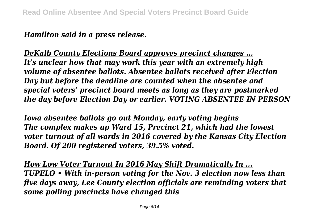*Hamilton said in a press release.*

*DeKalb County Elections Board approves precinct changes ... It's unclear how that may work this year with an extremely high volume of absentee ballots. Absentee ballots received after Election Day but before the deadline are counted when the absentee and special voters' precinct board meets as long as they are postmarked the day before Election Day or earlier. VOTING ABSENTEE IN PERSON*

*Iowa absentee ballots go out Monday, early voting begins The complex makes up Ward 15, Precinct 21, which had the lowest voter turnout of all wards in 2016 covered by the Kansas City Election Board. Of 200 registered voters, 39.5% voted.*

*How Low Voter Turnout In 2016 May Shift Dramatically In ... TUPELO • With in-person voting for the Nov. 3 election now less than five days away, Lee County election officials are reminding voters that some polling precincts have changed this*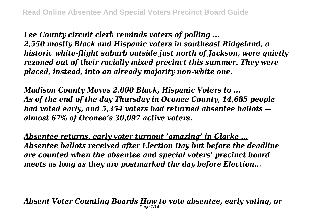*Lee County circuit clerk reminds voters of polling ... 2,550 mostly Black and Hispanic voters in southeast Ridgeland, a historic white-flight suburb outside just north of Jackson, were quietly rezoned out of their racially mixed precinct this summer. They were placed, instead, into an already majority non-white one.*

*Madison County Moves 2,000 Black, Hispanic Voters to ... As of the end of the day Thursday in Oconee County, 14,685 people had voted early, and 5,354 voters had returned absentee ballots almost 67% of Oconee's 30,097 active voters.*

*Absentee returns, early voter turnout 'amazing' in Clarke ... Absentee ballots received after Election Day but before the deadline are counted when the absentee and special voters' precinct board meets as long as they are postmarked the day before Election...*

*Absent Voter Counting Boards How to vote absentee, early voting, or* Page 7/14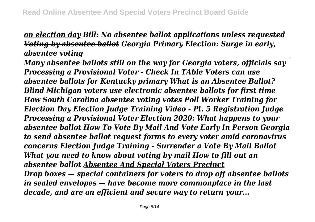## *on election day Bill: No absentee ballot applications unless requested Voting by absentee ballot Georgia Primary Election: Surge in early, absentee voting*

*Many absentee ballots still on the way for Georgia voters, officials say Processing a Provisional Voter - Check In TAble Voters can use absentee ballots for Kentucky primary What is an Absentee Ballot? Blind Michigan voters use electronic absentee ballots for first time How South Carolina absentee voting votes Poll Worker Training for Election Day Election Judge Training Video - Pt. 5 Registration Judge Processing a Provisional Voter Election 2020: What happens to your absentee ballot How To Vote By Mail And Vote Early In Person Georgia to send absentee ballot request forms to every voter amid coronavirus concerns Election Judge Training - Surrender a Vote By Mail Ballot What you need to know about voting by mail How to fill out an absentee ballot Absentee And Special Voters Precinct Drop boxes — special containers for voters to drop off absentee ballots in sealed envelopes — have become more commonplace in the last decade, and are an efficient and secure way to return your...*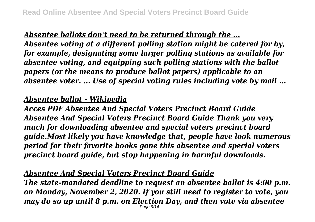*Absentee ballots don't need to be returned through the ... Absentee voting at a different polling station might be catered for by, for example, designating some larger polling stations as available for absentee voting, and equipping such polling stations with the ballot papers (or the means to produce ballot papers) applicable to an absentee voter. ... Use of special voting rules including vote by mail ...*

#### *Absentee ballot - Wikipedia*

*Acces PDF Absentee And Special Voters Precinct Board Guide Absentee And Special Voters Precinct Board Guide Thank you very much for downloading absentee and special voters precinct board guide.Most likely you have knowledge that, people have look numerous period for their favorite books gone this absentee and special voters precinct board guide, but stop happening in harmful downloads.*

## *Absentee And Special Voters Precinct Board Guide*

*The state-mandated deadline to request an absentee ballot is 4:00 p.m. on Monday, November 2, 2020. If you still need to register to vote, you may do so up until 8 p.m. on Election Day, and then vote via absentee* Page 9/14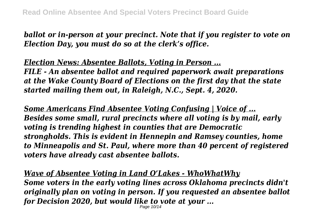*ballot or in-person at your precinct. Note that if you register to vote on Election Day, you must do so at the clerk's office.*

*Election News: Absentee Ballots, Voting in Person ... FILE - An absentee ballot and required paperwork await preparations at the Wake County Board of Elections on the first day that the state started mailing them out, in Raleigh, N.C., Sept. 4, 2020.*

*Some Americans Find Absentee Voting Confusing | Voice of ... Besides some small, rural precincts where all voting is by mail, early voting is trending highest in counties that are Democratic strongholds. This is evident in Hennepin and Ramsey counties, home to Minneapolis and St. Paul, where more than 40 percent of registered voters have already cast absentee ballots.*

*Wave of Absentee Voting in Land O'Lakes - WhoWhatWhy Some voters in the early voting lines across Oklahoma precincts didn't originally plan on voting in person. If you requested an absentee ballot for Decision 2020, but would like to vote at your ...* Page 10/14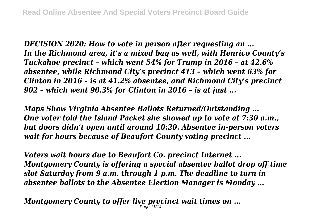*DECISION 2020: How to vote in person after requesting an ... In the Richmond area, it's a mixed bag as well, with Henrico County's Tuckahoe precinct – which went 54% for Trump in 2016 – at 42.6% absentee, while Richmond City's precinct 413 – which went 63% for Clinton in 2016 – is at 41.2% absentee, and Richmond City's precinct 902 – which went 90.3% for Clinton in 2016 – is at just ...*

*Maps Show Virginia Absentee Ballots Returned/Outstanding ... One voter told the Island Packet she showed up to vote at 7:30 a.m., but doors didn't open until around 10:20. Absentee in-person voters wait for hours because of Beaufort County voting precinct ...*

*Voters wait hours due to Beaufort Co. precinct Internet ... Montgomery County is offering a special absentee ballot drop off time slot Saturday from 9 a.m. through 1 p.m. The deadline to turn in absentee ballots to the Absentee Election Manager is Monday ...*

*Montgomery County to offer live precinct wait times on ...* Page 11/14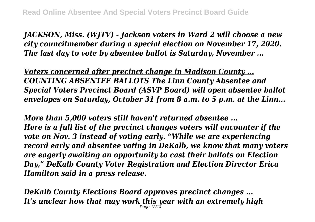*JACKSON, Miss. (WJTV) - Jackson voters in Ward 2 will choose a new city councilmember during a special election on November 17, 2020. The last day to vote by absentee ballot is Saturday, November ...*

*Voters concerned after precinct change in Madison County ... COUNTING ABSENTEE BALLOTS The Linn County Absentee and Special Voters Precinct Board (ASVP Board) will open absentee ballot envelopes on Saturday, October 31 from 8 a.m. to 5 p.m. at the Linn...*

*More than 5,000 voters still haven't returned absentee ... Here is a full list of the precinct changes voters will encounter if the vote on Nov. 3 instead of voting early. "While we are experiencing record early and absentee voting in DeKalb, we know that many voters are eagerly awaiting an opportunity to cast their ballots on Election Day," DeKalb County Voter Registration and Election Director Erica Hamilton said in a press release.*

*DeKalb County Elections Board approves precinct changes ... It's unclear how that may work this year with an extremely high* Page 12/14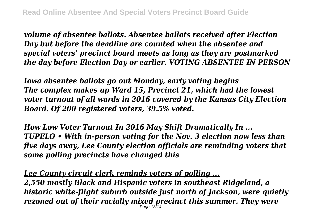*volume of absentee ballots. Absentee ballots received after Election Day but before the deadline are counted when the absentee and special voters' precinct board meets as long as they are postmarked the day before Election Day or earlier. VOTING ABSENTEE IN PERSON*

*Iowa absentee ballots go out Monday, early voting begins The complex makes up Ward 15, Precinct 21, which had the lowest voter turnout of all wards in 2016 covered by the Kansas City Election Board. Of 200 registered voters, 39.5% voted.*

*How Low Voter Turnout In 2016 May Shift Dramatically In ... TUPELO • With in-person voting for the Nov. 3 election now less than five days away, Lee County election officials are reminding voters that some polling precincts have changed this*

*Lee County circuit clerk reminds voters of polling ... 2,550 mostly Black and Hispanic voters in southeast Ridgeland, a historic white-flight suburb outside just north of Jackson, were quietly rezoned out of their racially mixed precinct this summer. They were* Page 13/14